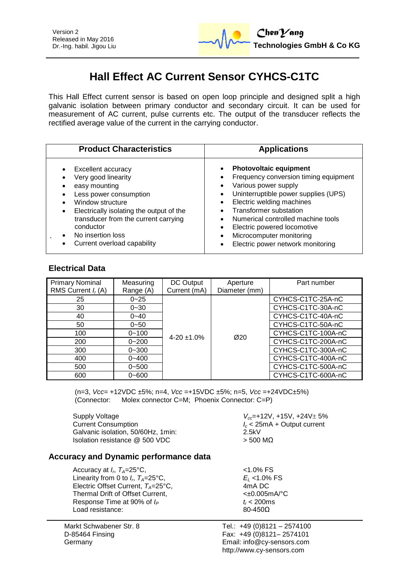

# **Hall Effect AC Current Sensor CYHCS-C1TC**

This Hall Effect current sensor is based on open loop principle and designed split a high galvanic isolation between primary conductor and secondary circuit. It can be used for measurement of AC current, pulse currents etc. The output of the transducer reflects the rectified average value of the current in the carrying conductor.

| <b>Product Characteristics</b>                                                                                                                                                                                                                                                                 | <b>Applications</b>                                                                                                                                                                                                                                                                                                                                     |
|------------------------------------------------------------------------------------------------------------------------------------------------------------------------------------------------------------------------------------------------------------------------------------------------|---------------------------------------------------------------------------------------------------------------------------------------------------------------------------------------------------------------------------------------------------------------------------------------------------------------------------------------------------------|
| <b>Excellent accuracy</b><br>$\bullet$<br>Very good linearity<br>easy mounting<br>Less power consumption<br>Window structure<br>Electrically isolating the output of the<br>$\bullet$<br>transducer from the current carrying<br>conductor<br>No insertion loss<br>Current overload capability | <b>Photovoltaic equipment</b><br>Frequency conversion timing equipment<br>Various power supply<br>Uninterruptible power supplies (UPS)<br>$\bullet$<br>Electric welding machines<br><b>Transformer substation</b><br>Numerical controlled machine tools<br>Electric powered locomotive<br>Microcomputer monitoring<br>Electric power network monitoring |

## **Electrical Data**

| <b>Primary Nominal</b><br>RMS Current $I_r(A)$ | Measuring<br>Range (A) | DC Output<br>Current (mA) | Aperture<br>Diameter (mm) | Part number        |
|------------------------------------------------|------------------------|---------------------------|---------------------------|--------------------|
| 25                                             | $0 - 25$               |                           |                           | CYHCS-C1TC-25A-nC  |
| 30                                             | $0 - 30$               |                           |                           | CYHCS-C1TC-30A-nC  |
| 40                                             | $0 - 40$               |                           |                           | CYHCS-C1TC-40A-nC  |
| 50                                             | $0 - 50$               |                           |                           | CYHCS-C1TC-50A-nC  |
| 100                                            | $0 - 100$              | $4 - 20 \pm 1.0\%$        | Ø20                       | CYHCS-C1TC-100A-nC |
| 200                                            | $0 - 200$              |                           |                           | CYHCS-C1TC-200A-nC |
| 300                                            | $0 - 300$              |                           |                           | CYHCS-C1TC-300A-nC |
| 400                                            | $0 - 400$              |                           |                           | CYHCS-C1TC-400A-nC |
| 500                                            | $0 - 500$              |                           |                           | CYHCS-C1TC-500A-nC |
| 600                                            | $0 - 600$              |                           |                           | CYHCS-C1TC-600A-nC |

(n=3, *Vcc*= +12VDC ±5%; n=4, *Vcc* =+15VDC ±5%; n=5, *Vcc* =+24VDC±5%) (Connector: Molex connector C=M; Phoenix Connector: C=P)

Supply Voltage<br>Current Consumption<br>*I<sub>c</sub>* < 25mA + Output current Galvanic isolation, 50/60Hz, 1min: Isolation resistance  $@$  500 VDC  $>$  500 MΩ

*I<sub>c</sub>* < 25mA + Output current<br>2.5kV

### **Accuracy and Dynamic performance data**

Accuracy at  $I_r$ ,  $T_A$ =25°C,  $\hspace{1.6cm}$   $\hspace{1.6cm}$   $\hspace{1.6cm}$   $\hspace{1.6cm}$   $\hspace{1.6cm}$   $\hspace{1.6cm}$   $\hspace{1.6cm}$   $\hspace{1.6cm}$   $\hspace{1.6cm}$   $\hspace{1.6cm}$   $\hspace{1.6cm}$   $\hspace{1.6cm}$   $\hspace{1.6cm}$   $\hspace{1.6cm}$   $\hspace{1.6cm}$   $\hspace{1.6cm}$  Linearity from 0 to  $I_n$ ,  $T_A = 25^{\circ}$ C, Electric Offset Current,  $T_A = 25^\circ \text{C}$ , Thermal Drift of Offset Current,  $\leftarrow$   $\leftarrow$  0.005mA/°C Response Time at 90% of  $I_P$  **b**  $t_r$  < 200ms Load resistance: 80-4500 Load resistance:

Markt Schwabener Str. 8 D-85464 Finsing Germany

 $E_L$  <1.0% FS<br>4mA DC

Tel.: +49 (0)8121 – 2574100 Fax: +49 (0)8121– 2574101 Email: info@cy-sensors.com http://www.cy-sensors.com